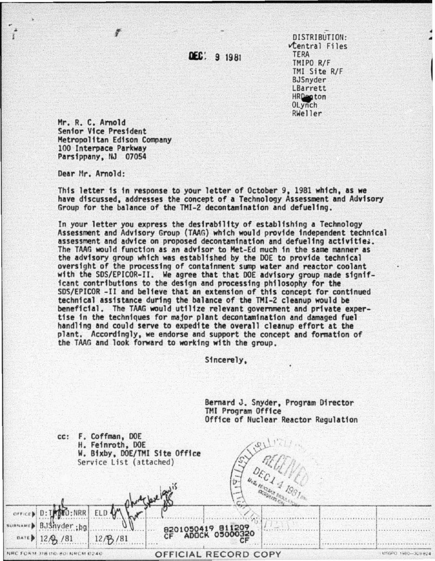DEC: 9 1981

DISTRIBUTION: Central Files **TERA** TMIPO R/F TMI Site R/F BJSnyder LBarrett HRDepton<br>OLynch RWeller

Mr. R. C. Arnold Senior Vice President Metropolitan Edison Company 100 Interpace Parkway Parsippany, NJ 07054

Dear Mr. Arnold:

This letter is in response to your letter of October 9, 1981 which, as we have discussed, addresses the concept of a Technology Assessment and Advisory Group for the balance of the TMI-2 decontamination and defueling.

In your letter you express the desirability of establishing a Technology Assessment and Advisory Group (TAAG) which would provide independent technical assessment and advice on proposed decontamination and defueling activities. The TAAG would function as an advisor to Met-Ed much in the same manner as the advisory group which was established by the DOE to provide technical oversight of the processing of containment sump water and reactor coolant with the SDS/EPICOR-II. We agree that that DOE advisory group made significant contributions to the design and processing philosophy for the SDS/EPICOR-II and believe that an extension of this concept for continued technical assistance during the balance of the TMI-2 cleanup would be beneficial. The TAAG would utilize relevant government and private expertise in the techniques for major plant decontamination and damaged fuel handling and could serve to expedite the overall cleanup effort at the plant. Accordingly, we endorse and support the concept and formation of the TAAG and look forward to working with the group.

Sincerely,

Bernard J. Snyder, Program Director TMI Program Office Office of Nuclear Reactor Regulation cc: F. Coffman, DOE H. Feinroth, DOE W. Bixby, DOE/TMI Site Office Service List (attached) ELD **SUBNAME** 8201050 19 81  $12/8/81$ USGFO 1980-329 824 NRC FORM 318 (10-80) NRCM 0240 OFFICIAL RECORD COPY